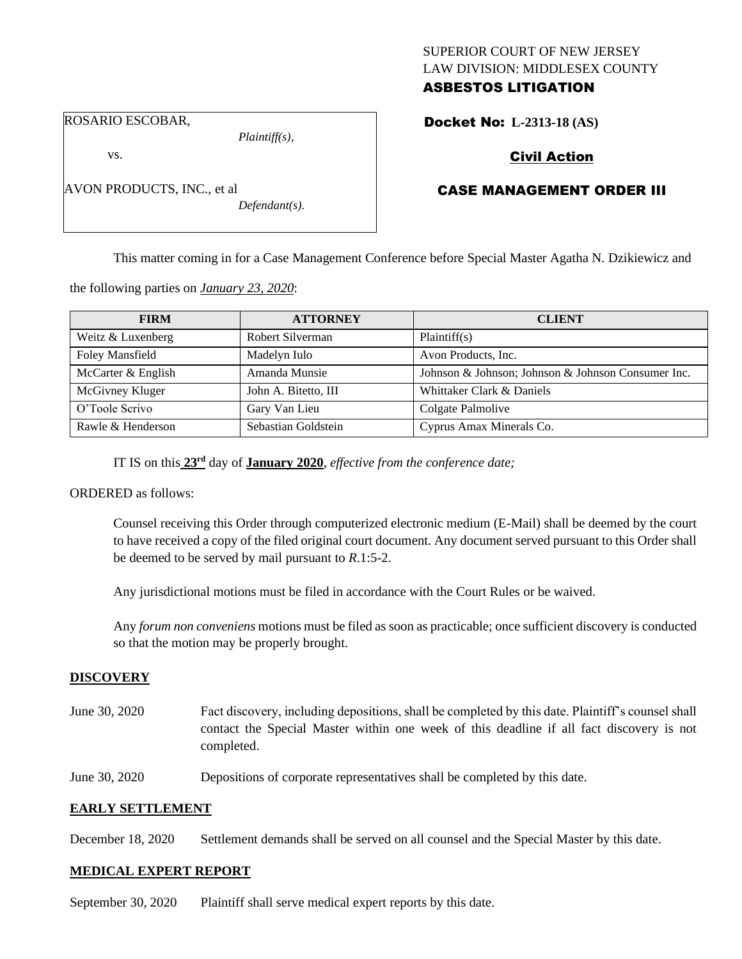## SUPERIOR COURT OF NEW JERSEY LAW DIVISION: MIDDLESEX COUNTY ASBESTOS LITIGATION

ROSARIO ESCOBAR,

AVON PRODUCTS, INC., et al

vs.

*Plaintiff(s),*

*Defendant(s).*

# Docket No: **L-2313-18 (AS)**

# Civil Action

# CASE MANAGEMENT ORDER III

This matter coming in for a Case Management Conference before Special Master Agatha N. Dzikiewicz and

the following parties on *January 23, 2020*:

| <b>FIRM</b>            | <b>ATTORNEY</b>      | <b>CLIENT</b>                                      |
|------------------------|----------------------|----------------------------------------------------|
| Weitz & Luxenberg      | Robert Silverman     | Plaintiff(s)                                       |
| <b>Foley Mansfield</b> | Madelyn Iulo         | Avon Products, Inc.                                |
| McCarter & English     | Amanda Munsie        | Johnson & Johnson; Johnson & Johnson Consumer Inc. |
| McGivney Kluger        | John A. Bitetto, III | Whittaker Clark & Daniels                          |
| O'Toole Scrivo         | Gary Van Lieu        | Colgate Palmolive                                  |
| Rawle & Henderson      | Sebastian Goldstein  | Cyprus Amax Minerals Co.                           |

IT IS on this  $23<sup>rd</sup>$  day of **January 2020**, *effective from the conference date*;

ORDERED as follows:

Counsel receiving this Order through computerized electronic medium (E-Mail) shall be deemed by the court to have received a copy of the filed original court document. Any document served pursuant to this Order shall be deemed to be served by mail pursuant to *R*.1:5-2.

Any jurisdictional motions must be filed in accordance with the Court Rules or be waived.

Any *forum non conveniens* motions must be filed as soon as practicable; once sufficient discovery is conducted so that the motion may be properly brought.

#### **DISCOVERY**

- June 30, 2020 Fact discovery, including depositions, shall be completed by this date. Plaintiff's counsel shall contact the Special Master within one week of this deadline if all fact discovery is not completed.
- June 30, 2020 Depositions of corporate representatives shall be completed by this date.

## **EARLY SETTLEMENT**

December 18, 2020 Settlement demands shall be served on all counsel and the Special Master by this date.

#### **MEDICAL EXPERT REPORT**

September 30, 2020 Plaintiff shall serve medical expert reports by this date.